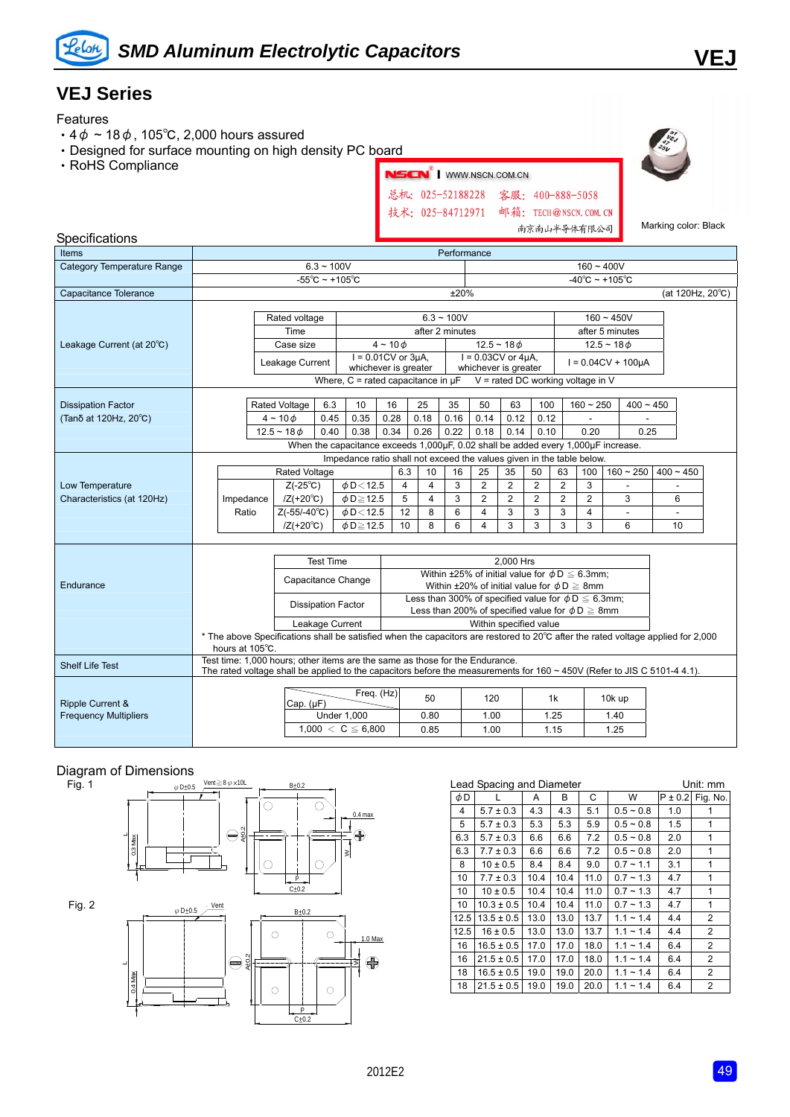

## **VEJ Series**

#### Features

- $\cdot$  4 $\phi$  ~ 18 $\phi$ , 105°C, 2,000 hours assured
- ‧Designed for surface mounting on high density PC board
- ‧RoHS Compliance



Marking color: Black

#### Specifications

| Items                             | Performance  |                                                                                                                                                                                                               |               |                                                                                   |                           |                                                                       |                             |           |                                                             |                  |                                     |                            |                |                |              |                         |             |  |  |
|-----------------------------------|--------------|---------------------------------------------------------------------------------------------------------------------------------------------------------------------------------------------------------------|---------------|-----------------------------------------------------------------------------------|---------------------------|-----------------------------------------------------------------------|-----------------------------|-----------|-------------------------------------------------------------|------------------|-------------------------------------|----------------------------|----------------|----------------|--------------|-------------------------|-------------|--|--|
| <b>Category Temperature Range</b> | $6.3 - 100V$ |                                                                                                                                                                                                               |               |                                                                                   |                           |                                                                       |                             |           |                                                             | $160 - 400V$     |                                     |                            |                |                |              |                         |             |  |  |
|                                   |              | $-55^{\circ}$ C ~ +105 $^{\circ}$ C                                                                                                                                                                           |               |                                                                                   |                           |                                                                       |                             |           |                                                             |                  | $-40^{\circ}$ C ~ +105 $^{\circ}$ C |                            |                |                |              |                         |             |  |  |
| Capacitance Tolerance             |              |                                                                                                                                                                                                               |               |                                                                                   |                           |                                                                       |                             |           | ±20%                                                        | (at 120Hz, 20°C) |                                     |                            |                |                |              |                         |             |  |  |
|                                   |              |                                                                                                                                                                                                               |               |                                                                                   |                           |                                                                       |                             |           |                                                             |                  |                                     |                            |                |                |              |                         |             |  |  |
|                                   |              |                                                                                                                                                                                                               |               | Rated voltage                                                                     |                           | $6.3 - 100V$                                                          |                             |           |                                                             |                  |                                     |                            |                |                | $160 - 450V$ |                         |             |  |  |
|                                   |              |                                                                                                                                                                                                               |               | Time                                                                              |                           |                                                                       |                             |           |                                                             | after 2 minutes  |                                     |                            |                |                |              | after 5 minutes         |             |  |  |
| Leakage Current (at 20°C)         |              |                                                                                                                                                                                                               |               | Case size                                                                         |                           |                                                                       | $4 \sim 10 \phi$            |           |                                                             |                  |                                     | $12.5 - 18$ $\phi$         |                |                |              | $12.5 - 18$ $\phi$      |             |  |  |
|                                   |              |                                                                                                                                                                                                               |               | Leakage Current                                                                   |                           |                                                                       | $I = 0.01$ CV or $3\mu A$ , |           |                                                             |                  |                                     | $I = 0.03CV$ or $4\mu A$ , |                |                |              | $I = 0.04CV + 100\mu A$ |             |  |  |
|                                   |              |                                                                                                                                                                                                               |               |                                                                                   |                           | whichever is greater<br>Where, $C =$ rated capacitance in $\mu$ F     |                             |           |                                                             |                  |                                     | whichever is greater       |                |                |              |                         |             |  |  |
|                                   |              |                                                                                                                                                                                                               |               |                                                                                   |                           |                                                                       |                             |           |                                                             |                  | $V =$ rated DC working voltage in V |                            |                |                |              |                         |             |  |  |
| <b>Dissipation Factor</b>         |              |                                                                                                                                                                                                               |               | Rated Voltage                                                                     | 6.3                       | 10                                                                    | 16                          |           | 25                                                          | 35               | 50                                  | 63                         | 100            |                | $160 - 250$  | $400 - 450$             |             |  |  |
| (Tanδ at 120Hz, 20°C)             |              |                                                                                                                                                                                                               |               | $4 \sim 10 \phi$                                                                  | 0.45                      | 0.35                                                                  | 0.28                        |           | 0.18                                                        | 0.16             | 0.14                                | 0.12                       | 0.12           |                |              |                         |             |  |  |
|                                   |              |                                                                                                                                                                                                               |               | $12.5 - 180$                                                                      | 0.40                      | 0.38                                                                  | 0.34                        |           | 0.26                                                        | 0.22             | 0.18                                | 0.14                       | 0.10           |                | 0.20         | 0.25                    |             |  |  |
|                                   |              |                                                                                                                                                                                                               |               | When the capacitance exceeds 1,000µF, 0.02 shall be added every 1,000µF increase. |                           |                                                                       |                             |           |                                                             |                  |                                     |                            |                |                |              |                         |             |  |  |
|                                   |              |                                                                                                                                                                                                               |               |                                                                                   |                           | Impedance ratio shall not exceed the values given in the table below. |                             |           |                                                             |                  |                                     |                            |                |                |              |                         |             |  |  |
|                                   |              |                                                                                                                                                                                                               | Rated Voltage |                                                                                   |                           |                                                                       |                             | 6.3       | 10                                                          | 16               | 25                                  | 35                         | 50             | 63             | 100          | $160 - 250$             | $400 - 450$ |  |  |
| Low Temperature                   |              |                                                                                                                                                                                                               |               | $Z(-25^{\circ}C)$                                                                 |                           | $\phi$ D < 12.5                                                       |                             | 4         | $\overline{4}$                                              | 3                | $\overline{2}$                      | $\overline{2}$             | $\overline{2}$ | $\overline{2}$ | 3            |                         |             |  |  |
| Characteristics (at 120Hz)        |              | Impedance                                                                                                                                                                                                     |               | $/Z(+20^{\circ}C)$                                                                |                           | $\phi$ D $\geq$ 12.5                                                  |                             | 5         | 4                                                           | 3                | $\overline{2}$                      | $\overline{2}$             | $\overline{2}$ | $\overline{2}$ | 2            | 3                       | 6           |  |  |
|                                   |              | Ratio                                                                                                                                                                                                         |               | $Z(-55/-40^{\circ}C)$                                                             |                           | $\phi$ D $<$ 12.5                                                     |                             | 12        | 8                                                           | 6                | 4                                   | 3                          | 3              | 3              | 4            | ÷.                      | $\sim$      |  |  |
|                                   |              |                                                                                                                                                                                                               |               | $/Z(+20^{\circ}C)$                                                                |                           | $\phi$ D $\geq$ 12.5                                                  |                             | 10        | 8                                                           | 6                | 4                                   | 3                          | 3              | 3              | 3            | 6                       | 10          |  |  |
|                                   |              |                                                                                                                                                                                                               |               |                                                                                   |                           |                                                                       |                             |           |                                                             |                  |                                     |                            |                |                |              |                         |             |  |  |
|                                   |              |                                                                                                                                                                                                               |               | <b>Test Time</b>                                                                  |                           |                                                                       |                             | 2,000 Hrs |                                                             |                  |                                     |                            |                |                |              |                         |             |  |  |
|                                   |              |                                                                                                                                                                                                               |               |                                                                                   |                           | Within ±25% of initial value for $\phi D \leq 6.3$ mm:                |                             |           |                                                             |                  |                                     |                            |                |                |              |                         |             |  |  |
| Endurance                         |              |                                                                                                                                                                                                               |               |                                                                                   | Capacitance Change        |                                                                       |                             |           | Within ±20% of initial value for $\phi D \geq 8$ mm         |                  |                                     |                            |                |                |              |                         |             |  |  |
|                                   |              |                                                                                                                                                                                                               |               |                                                                                   |                           |                                                                       |                             |           | Less than 300% of specified value for $\phi D \leq 6.3$ mm; |                  |                                     |                            |                |                |              |                         |             |  |  |
|                                   |              |                                                                                                                                                                                                               |               |                                                                                   | <b>Dissipation Factor</b> |                                                                       |                             |           | Less than 200% of specified value for $\phi D \geq 8$ mm    |                  |                                     |                            |                |                |              |                         |             |  |  |
|                                   |              | Leakage Current                                                                                                                                                                                               |               |                                                                                   |                           |                                                                       |                             |           | Within specified value                                      |                  |                                     |                            |                |                |              |                         |             |  |  |
|                                   |              | * The above Specifications shall be satisfied when the capacitors are restored to 20°C after the rated voltage applied for 2,000                                                                              |               |                                                                                   |                           |                                                                       |                             |           |                                                             |                  |                                     |                            |                |                |              |                         |             |  |  |
|                                   |              | hours at 105°C.                                                                                                                                                                                               |               |                                                                                   |                           |                                                                       |                             |           |                                                             |                  |                                     |                            |                |                |              |                         |             |  |  |
| <b>Shelf Life Test</b>            |              | Test time: 1,000 hours: other items are the same as those for the Endurance.<br>The rated voltage shall be applied to the capacitors before the measurements for $160 \sim 450V$ (Refer to JIS C 5101-4 4.1). |               |                                                                                   |                           |                                                                       |                             |           |                                                             |                  |                                     |                            |                |                |              |                         |             |  |  |
|                                   |              |                                                                                                                                                                                                               |               |                                                                                   |                           |                                                                       |                             |           |                                                             |                  |                                     |                            |                |                |              |                         |             |  |  |
|                                   |              |                                                                                                                                                                                                               |               |                                                                                   |                           |                                                                       | Freq. (Hz)                  |           | 50                                                          |                  |                                     |                            |                | 1k             |              | 10k up                  |             |  |  |
| <b>Ripple Current &amp;</b>       |              |                                                                                                                                                                                                               |               | Cap. (µF)                                                                         |                           |                                                                       |                             |           |                                                             |                  | 120                                 |                            |                |                |              |                         |             |  |  |
| <b>Frequency Multipliers</b>      |              |                                                                                                                                                                                                               |               |                                                                                   | <b>Under 1,000</b>        |                                                                       |                             |           | 0.80                                                        |                  | 1.00                                |                            |                | 1.25           |              | 1.40                    |             |  |  |
|                                   |              |                                                                                                                                                                                                               |               |                                                                                   | $1,000 < C \leq 6,800$    |                                                                       |                             |           | 0.85                                                        |                  | 1.00                                |                            |                | 1.15           |              | 1.25                    |             |  |  |

#### Diagram of Dimensions



 $\frac{1}{2} + 0$ 

|      | Lead Spacing and Diameter |      | Unit: mm |      |                |             |                |
|------|---------------------------|------|----------|------|----------------|-------------|----------------|
| φD   |                           | A    | В        | C    | W              | $P \pm 0.2$ | Fig. No.       |
| 4    | $5.7 \pm 0.3$             | 4.3  | 4.3      | 5.1  | $0.5 - 0.8$    | 1.0         | 1              |
| 5    | $5.7 \pm 0.3$             | 5.3  | 5.3      | 5.9  | $0.5 - 0.8$    | 1.5         | 1              |
| 6.3  | $5.7 \pm 0.3$             | 6.6  | 6.6      | 7.2  | $0.5 - 0.8$    | 2.0         | 1              |
| 6.3  | $7.7 \pm 0.3$             | 6.6  | 6.6      | 7.2  | $0.5 - 0.8$    | 2.0         | 1              |
| 8    | $10 \pm 0.5$              | 8.4  | 8.4      | 9.0  | $0.7 - 1.1$    | 3.1         | 1              |
| 10   | $7.7 \pm 0.3$             | 10.4 | 10.4     | 11.0 | $0.7 - 1.3$    | 4.7         | 1              |
| 10   | $10 \pm 0.5$              | 10.4 | 10.4     | 11.0 | $0.7 - 1.3$    | 4.7         | 1              |
| 10   | $10.3 \pm 0.5$            | 10.4 | 10.4     | 11.0 | $0.7 - 1.3$    | 4.7         | 1              |
| 12.5 | $13.5 \pm 0.5$            | 13.0 | 13.0     | 13.7 | $1.1 - 1.4$    | 4.4         | 2              |
| 12.5 | $16 \pm 0.5$              | 13.0 | 13.0     | 13.7 | $1.1 \sim 1.4$ | 4.4         | $\overline{2}$ |
| 16   | $16.5 \pm 0.5$            | 17.0 | 17.0     | 18.0 | $1.1 - 1.4$    | 6.4         | 2              |
| 16   | $21.5 \pm 0.5$            | 17.0 | 17.0     | 18.0 | $1.1 \sim 1.4$ | 6.4         | $\overline{2}$ |
| 18   | $16.5 \pm 0.5$            | 19.0 | 19.0     | 20.0 | $1.1 - 1.4$    | 6.4         | $\overline{2}$ |
| 18   | $21.5 \pm 0.5$            | 19.0 | 19.0     | 20.0 | $1.1 - 1.4$    | 6.4         | $\overline{2}$ |